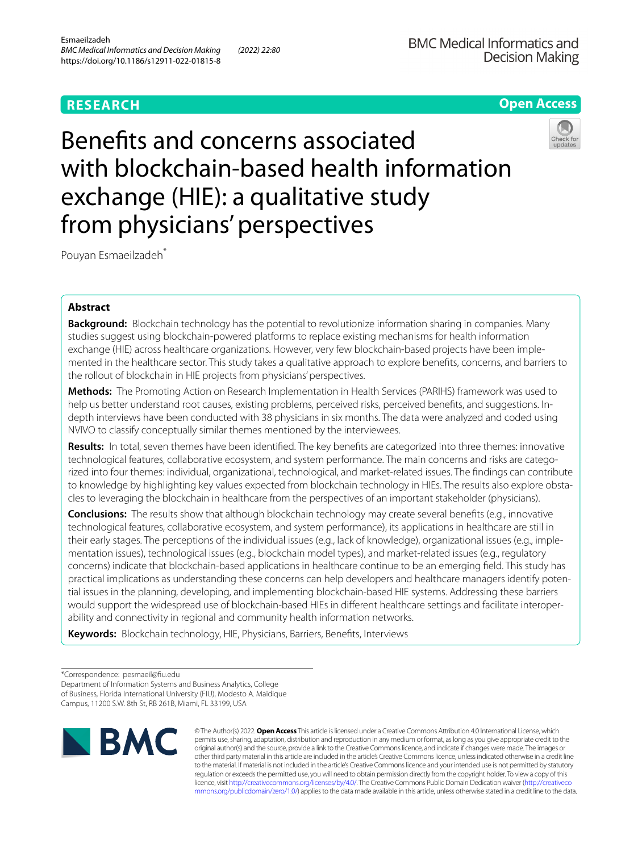# **Open Access**

# Benefts and concerns associated with blockchain-based health information exchange (HIE): a qualitative study from physicians' perspectives



Pouyan Esmaeilzadeh\*

## **Abstract**

**Background:** Blockchain technology has the potential to revolutionize information sharing in companies. Many studies suggest using blockchain-powered platforms to replace existing mechanisms for health information exchange (HIE) across healthcare organizations. However, very few blockchain-based projects have been implemented in the healthcare sector. This study takes a qualitative approach to explore benefts, concerns, and barriers to the rollout of blockchain in HIE projects from physicians' perspectives.

**Methods:** The Promoting Action on Research Implementation in Health Services (PARIHS) framework was used to help us better understand root causes, existing problems, perceived risks, perceived benefts, and suggestions. Indepth interviews have been conducted with 38 physicians in six months. The data were analyzed and coded using NVIVO to classify conceptually similar themes mentioned by the interviewees.

**Results:** In total, seven themes have been identifed. The key benefts are categorized into three themes: innovative technological features, collaborative ecosystem, and system performance. The main concerns and risks are categorized into four themes: individual, organizational, technological, and market-related issues. The fndings can contribute to knowledge by highlighting key values expected from blockchain technology in HIEs. The results also explore obstacles to leveraging the blockchain in healthcare from the perspectives of an important stakeholder (physicians).

**Conclusions:** The results show that although blockchain technology may create several benefts (e.g., innovative technological features, collaborative ecosystem, and system performance), its applications in healthcare are still in their early stages. The perceptions of the individual issues (e.g., lack of knowledge), organizational issues (e.g., implementation issues), technological issues (e.g., blockchain model types), and market-related issues (e.g., regulatory concerns) indicate that blockchain-based applications in healthcare continue to be an emerging feld. This study has practical implications as understanding these concerns can help developers and healthcare managers identify potential issues in the planning, developing, and implementing blockchain-based HIE systems. Addressing these barriers would support the widespread use of blockchain-based HIEs in diferent healthcare settings and facilitate interoperability and connectivity in regional and community health information networks.

**Keywords:** Blockchain technology, HIE, Physicians, Barriers, Benefts, Interviews

\*Correspondence: pesmaeil@fu.edu

Department of Information Systems and Business Analytics, College of Business, Florida International University (FIU), Modesto A. Maidique Campus, 11200 S.W. 8th St, RB 261B, Miami, FL 33199, USA



© The Author(s) 2022. **Open Access** This article is licensed under a Creative Commons Attribution 4.0 International License, which permits use, sharing, adaptation, distribution and reproduction in any medium or format, as long as you give appropriate credit to the original author(s) and the source, provide a link to the Creative Commons licence, and indicate if changes were made. The images or other third party material in this article are included in the article's Creative Commons licence, unless indicated otherwise in a credit line to the material. If material is not included in the article's Creative Commons licence and your intended use is not permitted by statutory regulation or exceeds the permitted use, you will need to obtain permission directly from the copyright holder. To view a copy of this licence, visit [http://creativecommons.org/licenses/by/4.0/.](http://creativecommons.org/licenses/by/4.0/) The Creative Commons Public Domain Dedication waiver ([http://creativeco](http://creativecommons.org/publicdomain/zero/1.0/) [mmons.org/publicdomain/zero/1.0/](http://creativecommons.org/publicdomain/zero/1.0/)) applies to the data made available in this article, unless otherwise stated in a credit line to the data.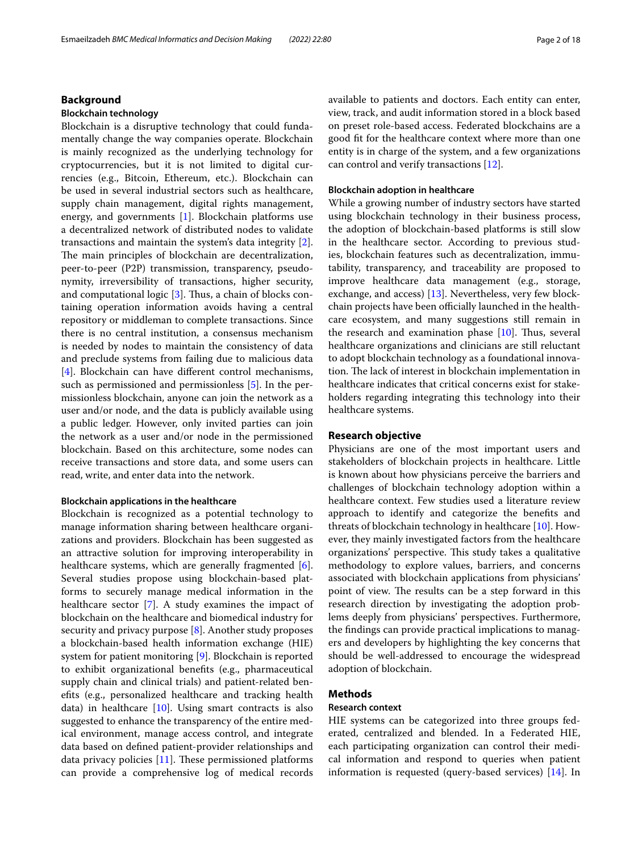## **Background**

## **Blockchain technology**

Blockchain is a disruptive technology that could fundamentally change the way companies operate. Blockchain is mainly recognized as the underlying technology for cryptocurrencies, but it is not limited to digital currencies (e.g., Bitcoin, Ethereum, etc.). Blockchain can be used in several industrial sectors such as healthcare, supply chain management, digital rights management, energy, and governments [[1\]](#page-16-0). Blockchain platforms use a decentralized network of distributed nodes to validate transactions and maintain the system's data integrity [\[2](#page-16-1)]. The main principles of blockchain are decentralization, peer-to-peer (P2P) transmission, transparency, pseudonymity, irreversibility of transactions, higher security, and computational logic  $[3]$  $[3]$ . Thus, a chain of blocks containing operation information avoids having a central repository or middleman to complete transactions. Since there is no central institution, a consensus mechanism is needed by nodes to maintain the consistency of data and preclude systems from failing due to malicious data [[4\]](#page-16-3). Blockchain can have diferent control mechanisms, such as permissioned and permissionless [[5\]](#page-16-4). In the permissionless blockchain, anyone can join the network as a user and/or node, and the data is publicly available using a public ledger. However, only invited parties can join the network as a user and/or node in the permissioned blockchain. Based on this architecture, some nodes can receive transactions and store data, and some users can read, write, and enter data into the network.

#### **Blockchain applications in the healthcare**

Blockchain is recognized as a potential technology to manage information sharing between healthcare organizations and providers. Blockchain has been suggested as an attractive solution for improving interoperability in healthcare systems, which are generally fragmented [\[6](#page-16-5)]. Several studies propose using blockchain-based platforms to securely manage medical information in the healthcare sector [[7](#page-16-6)]. A study examines the impact of blockchain on the healthcare and biomedical industry for security and privacy purpose [\[8\]](#page-16-7). Another study proposes a blockchain-based health information exchange (HIE) system for patient monitoring [\[9\]](#page-16-8). Blockchain is reported to exhibit organizational benefts (e.g., pharmaceutical supply chain and clinical trials) and patient-related benefts (e.g., personalized healthcare and tracking health data) in healthcare  $[10]$  $[10]$ . Using smart contracts is also suggested to enhance the transparency of the entire medical environment, manage access control, and integrate data based on defned patient-provider relationships and data privacy policies  $[11]$  $[11]$ . These permissioned platforms can provide a comprehensive log of medical records available to patients and doctors. Each entity can enter, view, track, and audit information stored in a block based on preset role-based access. Federated blockchains are a good ft for the healthcare context where more than one entity is in charge of the system, and a few organizations can control and verify transactions [[12\]](#page-16-11).

## **Blockchain adoption in healthcare**

While a growing number of industry sectors have started using blockchain technology in their business process, the adoption of blockchain-based platforms is still slow in the healthcare sector. According to previous studies, blockchain features such as decentralization, immutability, transparency, and traceability are proposed to improve healthcare data management (e.g., storage, exchange, and access) [[13\]](#page-16-12). Nevertheless, very few blockchain projects have been officially launched in the healthcare ecosystem, and many suggestions still remain in the research and examination phase  $[10]$  $[10]$ . Thus, several healthcare organizations and clinicians are still reluctant to adopt blockchain technology as a foundational innovation. The lack of interest in blockchain implementation in healthcare indicates that critical concerns exist for stakeholders regarding integrating this technology into their healthcare systems.

#### **Research objective**

Physicians are one of the most important users and stakeholders of blockchain projects in healthcare. Little is known about how physicians perceive the barriers and challenges of blockchain technology adoption within a healthcare context. Few studies used a literature review approach to identify and categorize the benefts and threats of blockchain technology in healthcare [[10\]](#page-16-9). However, they mainly investigated factors from the healthcare organizations' perspective. This study takes a qualitative methodology to explore values, barriers, and concerns associated with blockchain applications from physicians' point of view. The results can be a step forward in this research direction by investigating the adoption problems deeply from physicians' perspectives. Furthermore, the fndings can provide practical implications to managers and developers by highlighting the key concerns that should be well-addressed to encourage the widespread adoption of blockchain.

## **Methods**

#### **Research context**

HIE systems can be categorized into three groups federated, centralized and blended. In a Federated HIE, each participating organization can control their medical information and respond to queries when patient information is requested (query-based services) [[14\]](#page-16-13). In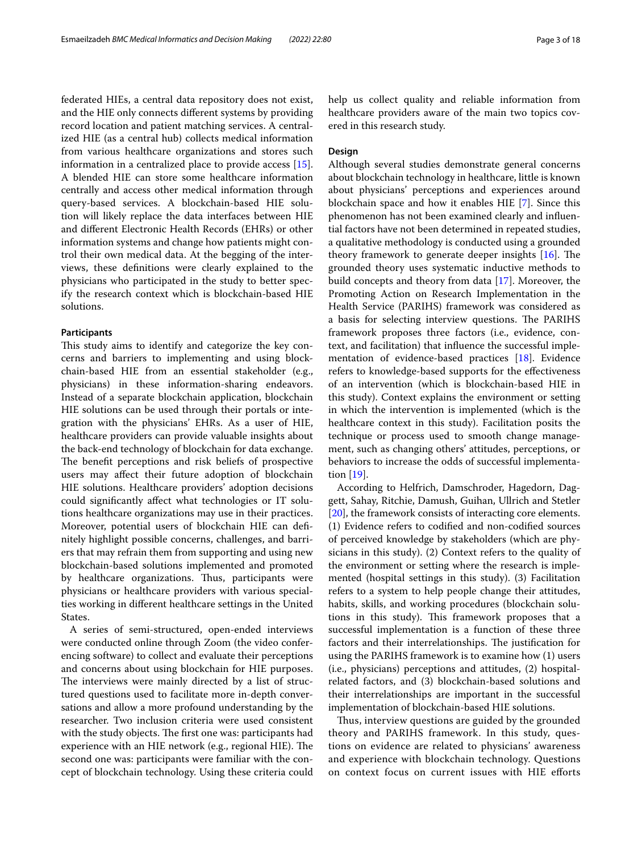federated HIEs, a central data repository does not exist, and the HIE only connects diferent systems by providing record location and patient matching services. A centralized HIE (as a central hub) collects medical information from various healthcare organizations and stores such information in a centralized place to provide access [\[15](#page-16-14)]. A blended HIE can store some healthcare information centrally and access other medical information through query-based services. A blockchain-based HIE solution will likely replace the data interfaces between HIE and diferent Electronic Health Records (EHRs) or other information systems and change how patients might control their own medical data. At the begging of the interviews, these defnitions were clearly explained to the physicians who participated in the study to better specify the research context which is blockchain-based HIE solutions.

## **Participants**

This study aims to identify and categorize the key concerns and barriers to implementing and using blockchain-based HIE from an essential stakeholder (e.g., physicians) in these information-sharing endeavors. Instead of a separate blockchain application, blockchain HIE solutions can be used through their portals or integration with the physicians' EHRs. As a user of HIE, healthcare providers can provide valuable insights about the back-end technology of blockchain for data exchange. The benefit perceptions and risk beliefs of prospective users may afect their future adoption of blockchain HIE solutions. Healthcare providers' adoption decisions could signifcantly afect what technologies or IT solutions healthcare organizations may use in their practices. Moreover, potential users of blockchain HIE can defnitely highlight possible concerns, challenges, and barriers that may refrain them from supporting and using new blockchain-based solutions implemented and promoted by healthcare organizations. Thus, participants were physicians or healthcare providers with various specialties working in diferent healthcare settings in the United States.

A series of semi-structured, open-ended interviews were conducted online through Zoom (the video conferencing software) to collect and evaluate their perceptions and concerns about using blockchain for HIE purposes. The interviews were mainly directed by a list of structured questions used to facilitate more in-depth conversations and allow a more profound understanding by the researcher. Two inclusion criteria were used consistent with the study objects. The first one was: participants had experience with an HIE network (e.g., regional HIE). The second one was: participants were familiar with the concept of blockchain technology. Using these criteria could help us collect quality and reliable information from healthcare providers aware of the main two topics covered in this research study.

## **Design**

Although several studies demonstrate general concerns about blockchain technology in healthcare, little is known about physicians' perceptions and experiences around blockchain space and how it enables HIE [\[7](#page-16-6)]. Since this phenomenon has not been examined clearly and infuential factors have not been determined in repeated studies, a qualitative methodology is conducted using a grounded theory framework to generate deeper insights  $[16]$  $[16]$ . The grounded theory uses systematic inductive methods to build concepts and theory from data [\[17](#page-16-16)]. Moreover, the Promoting Action on Research Implementation in the Health Service (PARIHS) framework was considered as a basis for selecting interview questions. The PARIHS framework proposes three factors (i.e., evidence, context, and facilitation) that infuence the successful implementation of evidence-based practices [[18\]](#page-16-17). Evidence refers to knowledge-based supports for the efectiveness of an intervention (which is blockchain-based HIE in this study). Context explains the environment or setting in which the intervention is implemented (which is the healthcare context in this study). Facilitation posits the technique or process used to smooth change management, such as changing others' attitudes, perceptions, or behaviors to increase the odds of successful implementation [[19\]](#page-16-18).

According to Helfrich, Damschroder, Hagedorn, Daggett, Sahay, Ritchie, Damush, Guihan, Ullrich and Stetler [[20\]](#page-16-19), the framework consists of interacting core elements. (1) Evidence refers to codifed and non-codifed sources of perceived knowledge by stakeholders (which are physicians in this study). (2) Context refers to the quality of the environment or setting where the research is implemented (hospital settings in this study). (3) Facilitation refers to a system to help people change their attitudes, habits, skills, and working procedures (blockchain solutions in this study). This framework proposes that a successful implementation is a function of these three factors and their interrelationships. The justification for using the PARIHS framework is to examine how (1) users (i.e., physicians) perceptions and attitudes, (2) hospitalrelated factors, and (3) blockchain-based solutions and their interrelationships are important in the successful implementation of blockchain-based HIE solutions.

Thus, interview questions are guided by the grounded theory and PARIHS framework. In this study, questions on evidence are related to physicians' awareness and experience with blockchain technology. Questions on context focus on current issues with HIE eforts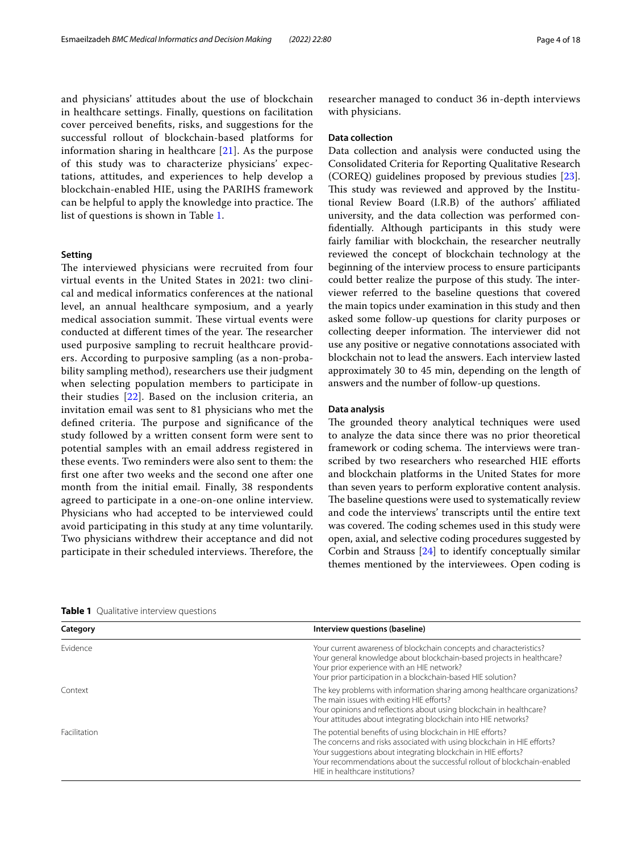and physicians' attitudes about the use of blockchain in healthcare settings. Finally, questions on facilitation cover perceived benefts, risks, and suggestions for the successful rollout of blockchain-based platforms for information sharing in healthcare [[21\]](#page-16-20). As the purpose of this study was to characterize physicians' expectations, attitudes, and experiences to help develop a blockchain-enabled HIE, using the PARIHS framework can be helpful to apply the knowledge into practice. The list of questions is shown in Table [1.](#page-3-0)

## **Setting**

The interviewed physicians were recruited from four virtual events in the United States in 2021: two clinical and medical informatics conferences at the national level, an annual healthcare symposium, and a yearly medical association summit. These virtual events were conducted at different times of the year. The researcher used purposive sampling to recruit healthcare providers. According to purposive sampling (as a non-probability sampling method), researchers use their judgment when selecting population members to participate in their studies [[22](#page-16-21)]. Based on the inclusion criteria, an invitation email was sent to 81 physicians who met the defined criteria. The purpose and significance of the study followed by a written consent form were sent to potential samples with an email address registered in these events. Two reminders were also sent to them: the frst one after two weeks and the second one after one month from the initial email. Finally, 38 respondents agreed to participate in a one-on-one online interview. Physicians who had accepted to be interviewed could avoid participating in this study at any time voluntarily. Two physicians withdrew their acceptance and did not participate in their scheduled interviews. Therefore, the researcher managed to conduct 36 in-depth interviews with physicians.

#### **Data collection**

Data collection and analysis were conducted using the Consolidated Criteria for Reporting Qualitative Research (COREQ) guidelines proposed by previous studies [\[23](#page-16-22)]. This study was reviewed and approved by the Institutional Review Board (I.R.B) of the authors' afliated university, and the data collection was performed confdentially. Although participants in this study were fairly familiar with blockchain, the researcher neutrally reviewed the concept of blockchain technology at the beginning of the interview process to ensure participants could better realize the purpose of this study. The interviewer referred to the baseline questions that covered the main topics under examination in this study and then asked some follow-up questions for clarity purposes or collecting deeper information. The interviewer did not use any positive or negative connotations associated with blockchain not to lead the answers. Each interview lasted approximately 30 to 45 min, depending on the length of answers and the number of follow-up questions.

#### **Data analysis**

The grounded theory analytical techniques were used to analyze the data since there was no prior theoretical framework or coding schema. The interviews were transcribed by two researchers who researched HIE efforts and blockchain platforms in the United States for more than seven years to perform explorative content analysis. The baseline questions were used to systematically review and code the interviews' transcripts until the entire text was covered. The coding schemes used in this study were open, axial, and selective coding procedures suggested by Corbin and Strauss [[24\]](#page-16-23) to identify conceptually similar themes mentioned by the interviewees. Open coding is

| Category     | Interview questions (baseline)                                                                                                                                                                                                                                                                                       |  |
|--------------|----------------------------------------------------------------------------------------------------------------------------------------------------------------------------------------------------------------------------------------------------------------------------------------------------------------------|--|
| Fvidence     | Your current awareness of blockchain concepts and characteristics?<br>Your general knowledge about blockchain-based projects in healthcare?<br>Your prior experience with an HIE network?<br>Your prior participation in a blockchain-based HIE solution?                                                            |  |
| Context      | The key problems with information sharing among healthcare organizations?<br>The main issues with exiting HIE efforts?<br>Your opinions and reflections about using blockchain in healthcare?<br>Your attitudes about integrating blockchain into HIE networks?                                                      |  |
| Facilitation | The potential benefits of using blockchain in HIE efforts?<br>The concerns and risks associated with using blockchain in HIE efforts?<br>Your suggestions about integrating blockchain in HIE efforts?<br>Your recommendations about the successful rollout of blockchain-enabled<br>HIE in healthcare institutions? |  |

<span id="page-3-0"></span>**Table 1** Qualitative interview questions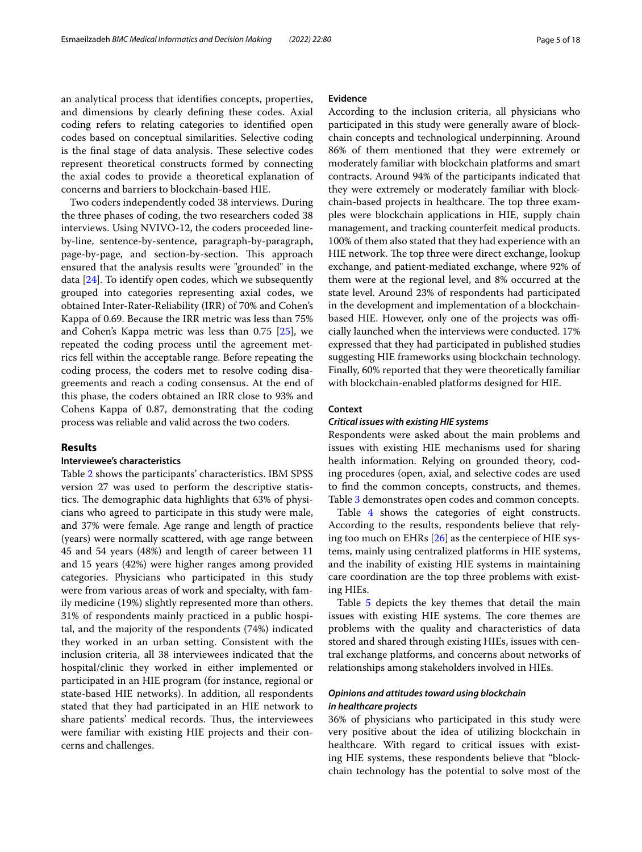an analytical process that identifes concepts, properties, and dimensions by clearly defning these codes. Axial coding refers to relating categories to identifed open codes based on conceptual similarities. Selective coding is the final stage of data analysis. These selective codes represent theoretical constructs formed by connecting the axial codes to provide a theoretical explanation of concerns and barriers to blockchain-based HIE.

Two coders independently coded 38 interviews. During the three phases of coding, the two researchers coded 38 interviews. Using NVIVO-12, the coders proceeded lineby-line, sentence-by-sentence, paragraph-by-paragraph, page-by-page, and section-by-section. This approach ensured that the analysis results were "grounded" in the data [[24\]](#page-16-23). To identify open codes, which we subsequently grouped into categories representing axial codes, we obtained Inter-Rater-Reliability (IRR) of 70% and Cohen's Kappa of 0.69. Because the IRR metric was less than 75% and Cohen's Kappa metric was less than  $0.75$  [ $25$ ], we repeated the coding process until the agreement metrics fell within the acceptable range. Before repeating the coding process, the coders met to resolve coding disagreements and reach a coding consensus. At the end of this phase, the coders obtained an IRR close to 93% and Cohens Kappa of 0.87, demonstrating that the coding process was reliable and valid across the two coders.

## **Results**

## **Interviewee's characteristics**

Table [2](#page-5-0) shows the participants' characteristics. IBM SPSS version 27 was used to perform the descriptive statistics. The demographic data highlights that 63% of physicians who agreed to participate in this study were male, and 37% were female. Age range and length of practice (years) were normally scattered, with age range between 45 and 54 years (48%) and length of career between 11 and 15 years (42%) were higher ranges among provided categories. Physicians who participated in this study were from various areas of work and specialty, with family medicine (19%) slightly represented more than others. 31% of respondents mainly practiced in a public hospital, and the majority of the respondents (74%) indicated they worked in an urban setting. Consistent with the inclusion criteria, all 38 interviewees indicated that the hospital/clinic they worked in either implemented or participated in an HIE program (for instance, regional or state-based HIE networks). In addition, all respondents stated that they had participated in an HIE network to share patients' medical records. Thus, the interviewees were familiar with existing HIE projects and their concerns and challenges.

#### **Evidence**

According to the inclusion criteria, all physicians who participated in this study were generally aware of blockchain concepts and technological underpinning. Around 86% of them mentioned that they were extremely or moderately familiar with blockchain platforms and smart contracts. Around 94% of the participants indicated that they were extremely or moderately familiar with blockchain-based projects in healthcare. The top three examples were blockchain applications in HIE, supply chain management, and tracking counterfeit medical products. 100% of them also stated that they had experience with an HIE network. The top three were direct exchange, lookup exchange, and patient-mediated exchange, where 92% of them were at the regional level, and 8% occurred at the state level. Around 23% of respondents had participated in the development and implementation of a blockchainbased HIE. However, only one of the projects was officially launched when the interviews were conducted. 17% expressed that they had participated in published studies suggesting HIE frameworks using blockchain technology. Finally, 60% reported that they were theoretically familiar with blockchain-enabled platforms designed for HIE.

## **Context**

#### *Critical issues with existing HIE systems*

Respondents were asked about the main problems and issues with existing HIE mechanisms used for sharing health information. Relying on grounded theory, coding procedures (open, axial, and selective codes are used to fnd the common concepts, constructs, and themes. Table [3](#page-6-0) demonstrates open codes and common concepts.

Table [4](#page-6-1) shows the categories of eight constructs. According to the results, respondents believe that relying too much on EHRs [[26\]](#page-16-25) as the centerpiece of HIE systems, mainly using centralized platforms in HIE systems, and the inability of existing HIE systems in maintaining care coordination are the top three problems with existing HIEs.

Table [5](#page-6-2) depicts the key themes that detail the main issues with existing HIE systems. The core themes are problems with the quality and characteristics of data stored and shared through existing HIEs, issues with central exchange platforms, and concerns about networks of relationships among stakeholders involved in HIEs.

## *Opinions and attitudes toward using blockchain in healthcare projects*

36% of physicians who participated in this study were very positive about the idea of utilizing blockchain in healthcare. With regard to critical issues with existing HIE systems, these respondents believe that "blockchain technology has the potential to solve most of the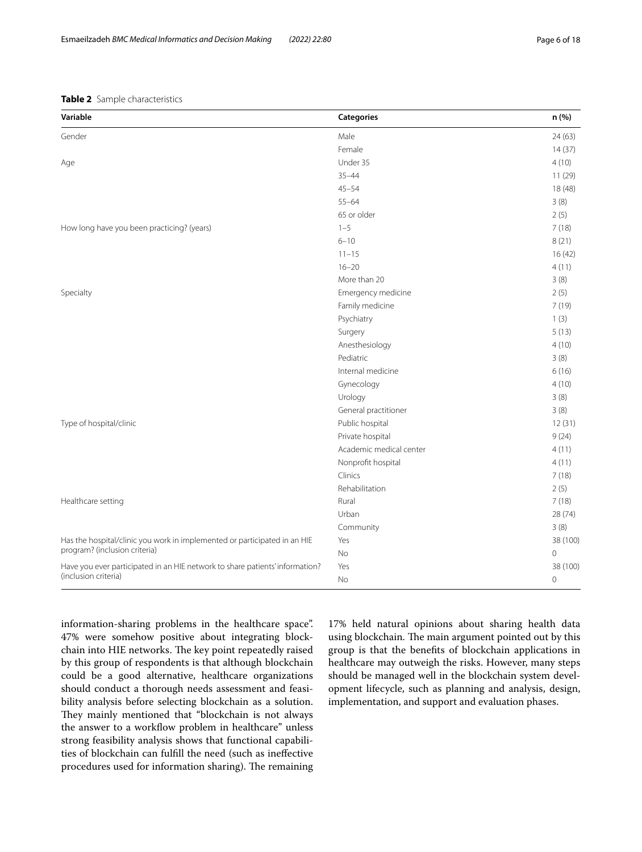## <span id="page-5-0"></span>**Table 2** Sample characteristics

| Variable                                                                     | Categories              | n (%)          |
|------------------------------------------------------------------------------|-------------------------|----------------|
| Gender                                                                       | Male                    | 24(63)         |
|                                                                              | Female                  | 14(37)         |
| Age                                                                          | Under 35                | 4(10)          |
|                                                                              | $35 - 44$               | 11(29)         |
|                                                                              | $45 - 54$               | 18 (48)        |
|                                                                              | $55 - 64$               | 3(8)           |
|                                                                              | 65 or older             | 2(5)           |
| How long have you been practicing? (years)                                   | $1 - 5$                 | 7(18)          |
|                                                                              | $6 - 10$                | 8(21)          |
|                                                                              | $11 - 15$               | 16(42)         |
|                                                                              | $16 - 20$               | 4(11)          |
|                                                                              | More than 20            | 3(8)           |
| Specialty                                                                    | Emergency medicine      | 2(5)           |
|                                                                              | Family medicine         | 7(19)          |
|                                                                              | Psychiatry              | 1(3)           |
|                                                                              | Surgery                 | 5(13)          |
|                                                                              | Anesthesiology          | 4(10)          |
|                                                                              | Pediatric               | 3(8)           |
|                                                                              | Internal medicine       | 6(16)          |
|                                                                              | Gynecology              | 4(10)          |
|                                                                              | Urology                 | 3(8)           |
|                                                                              | General practitioner    | 3(8)           |
| Type of hospital/clinic                                                      | Public hospital         | 12(31)         |
|                                                                              | Private hospital        | 9(24)          |
|                                                                              | Academic medical center | 4(11)          |
|                                                                              | Nonprofit hospital      | 4(11)          |
|                                                                              | Clinics                 | 7(18)          |
|                                                                              | Rehabilitation          | 2(5)           |
| Healthcare setting                                                           | Rural                   | 7(18)          |
|                                                                              | Urban                   | 28 (74)        |
|                                                                              | Community               | 3(8)           |
| Has the hospital/clinic you work in implemented or participated in an HIE    | Yes                     | 38 (100)       |
| program? (inclusion criteria)                                                | No                      | $\overline{0}$ |
| Have you ever participated in an HIE network to share patients' information? | Yes                     | 38 (100)       |
| (inclusion criteria)                                                         | No                      | $\mathbf 0$    |

information-sharing problems in the healthcare space". 47% were somehow positive about integrating blockchain into HIE networks. The key point repeatedly raised by this group of respondents is that although blockchain could be a good alternative, healthcare organizations should conduct a thorough needs assessment and feasibility analysis before selecting blockchain as a solution. They mainly mentioned that "blockchain is not always the answer to a workflow problem in healthcare" unless strong feasibility analysis shows that functional capabilities of blockchain can fulfll the need (such as inefective procedures used for information sharing). The remaining

17% held natural opinions about sharing health data using blockchain. The main argument pointed out by this group is that the benefts of blockchain applications in healthcare may outweigh the risks. However, many steps should be managed well in the blockchain system development lifecycle, such as planning and analysis, design, implementation, and support and evaluation phases.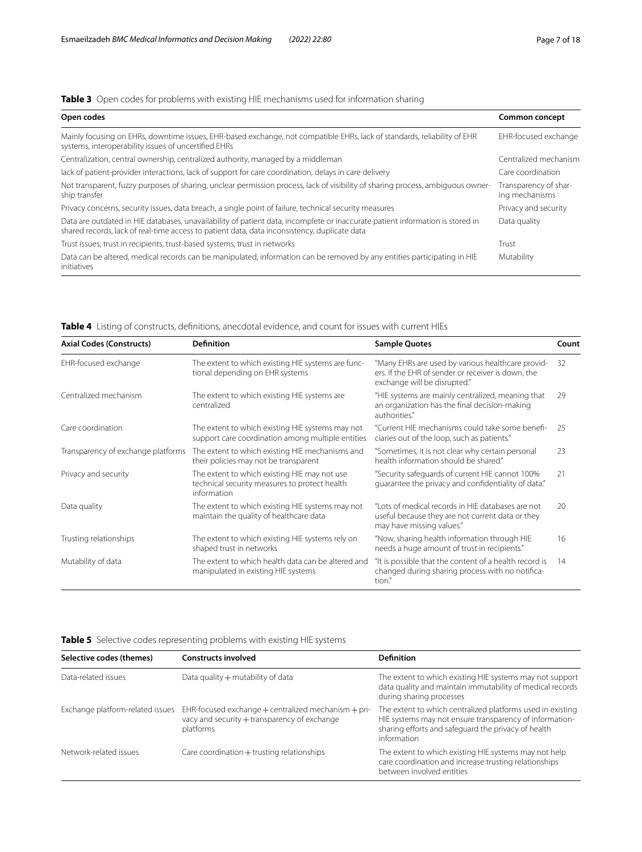## <span id="page-6-0"></span>**Table 3** Open codes for problems with existing HIE mechanisms used for information sharing

| Open codes                                                                                                                                                                                                                    | Common concept                          |
|-------------------------------------------------------------------------------------------------------------------------------------------------------------------------------------------------------------------------------|-----------------------------------------|
| Mainly focusing on EHRs, downtime issues, EHR-based exchange, not compatible EHRs, lack of standards, reliability of EHR<br>systems, interoperability issues of uncertified EHRs                                              | EHR-focused exchange                    |
| Centralization, central ownership, centralized authority, managed by a middleman                                                                                                                                              | Centralized mechanism                   |
| lack of patient-provider interactions, lack of support for care coordination, delays in care delivery                                                                                                                         | Care coordination                       |
| Not transparent, fuzzy purposes of sharing, unclear permission process, lack of visibility of sharing process, ambiguous owner-<br>ship transfer                                                                              | Transparency of shar-<br>ing mechanisms |
| Privacy concerns, security issues, data breach, a single point of failure, technical security measures                                                                                                                        | Privacy and security                    |
| Data are outdated in HIE databases, unavailability of patient data, incomplete or inaccurate patient information is stored in<br>shared records, lack of real-time access to patient data, data inconsistency, duplicate data | Data quality                            |
| Trust issues, trust in recipients, trust-based systems, trust in networks                                                                                                                                                     | Trust                                   |
| Data can be altered, medical records can be manipulated, information can be removed by any entities participating in HIE<br>initiatives                                                                                       | Mutability                              |

| <b>Axial Codes (Constructs)</b>    | <b>Definition</b>                                                                                            | <b>Sample Quotes</b>                                                                                                                    | Count |
|------------------------------------|--------------------------------------------------------------------------------------------------------------|-----------------------------------------------------------------------------------------------------------------------------------------|-------|
| EHR-focused exchange               | The extent to which existing HIE systems are func-<br>tional depending on EHR systems                        | "Many EHRs are used by various healthcare provid-<br>ers. If the EHR of sender or receiver is down, the<br>exchange will be disrupted." | 32    |
| Centralized mechanism              | The extent to which existing HIE systems are<br>centralized                                                  | "HIE systems are mainly centralized, meaning that<br>an organization has the final decision-making<br>authorities."                     | 29    |
| Care coordination                  | The extent to which existing HIE systems may not<br>support care coordination among multiple entities        | "Current HIE mechanisms could take some benefi-<br>ciaries out of the loop, such as patients."                                          | 25    |
| Transparency of exchange platforms | The extent to which existing HIE mechanisms and<br>their policies may not be transparent                     | "Sometimes, it is not clear why certain personal<br>health information should be shared."                                               | 23    |
| Privacy and security               | The extent to which existing HIE may not use<br>technical security measures to protect health<br>information | "Security safequards of current HIE cannot 100%<br>quarantee the privacy and confidentiality of data."                                  | 21    |
| Data quality                       | The extent to which existing HIE systems may not<br>maintain the quality of healthcare data                  | "Lots of medical records in HIE databases are not<br>useful because they are not current data or they<br>may have missing values."      | 20    |
| Trusting relationships             | The extent to which existing HIE systems rely on<br>shaped trust in networks                                 | "Now, sharing health information through HIE<br>needs a huge amount of trust in recipients."                                            | 16    |
| Mutability of data                 | The extent to which health data can be altered and<br>manipulated in existing HIE systems                    | "It is possible that the content of a health record is<br>changed during sharing process with no notifica-<br>tion."                    | 14    |

<span id="page-6-1"></span>**Table 4** Listing of constructs, defnitions, anecdotal evidence, and count for issues with current HIEs

<span id="page-6-2"></span>**Table 5** Selective codes representing problems with existing HIE systems

| Selective codes (themes)         | <b>Constructs involved</b>                                                                                           | <b>Definition</b>                                                                                                                                                                           |
|----------------------------------|----------------------------------------------------------------------------------------------------------------------|---------------------------------------------------------------------------------------------------------------------------------------------------------------------------------------------|
| Data-related issues              | Data quality $+$ mutability of data                                                                                  | The extent to which existing HIE systems may not support<br>data quality and maintain immutability of medical records<br>during sharing processes                                           |
| Exchange platform-related issues | EHR-focused exchange $+$ centralized mechanism $+$ pri-<br>vacy and security + transparency of exchange<br>platforms | The extent to which centralized platforms used in existing<br>HIE systems may not ensure transparency of information-<br>sharing efforts and safeguard the privacy of health<br>information |
| Network-related issues           | Care coordination + trusting relationships                                                                           | The extent to which existing HIE systems may not help<br>care coordination and increase trusting relationships<br>between involved entities                                                 |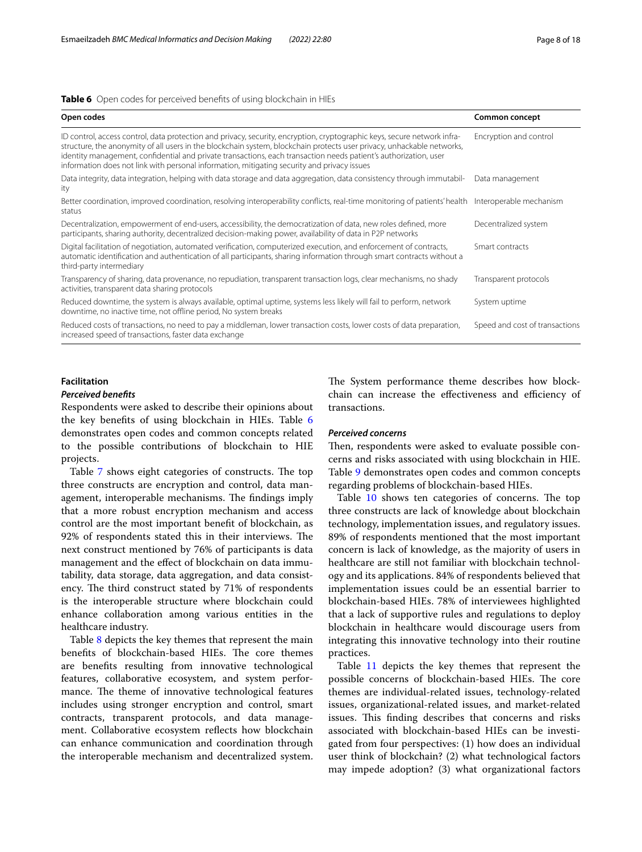#### <span id="page-7-0"></span>**Table 6** Open codes for perceived benefts of using blockchain in HIEs

| Open codes                                                                                                                                                                                                                                                                                                                                                                                                                                                            | Common concept                 |
|-----------------------------------------------------------------------------------------------------------------------------------------------------------------------------------------------------------------------------------------------------------------------------------------------------------------------------------------------------------------------------------------------------------------------------------------------------------------------|--------------------------------|
| ID control, access control, data protection and privacy, security, encryption, cryptographic keys, secure network infra-<br>structure, the anonymity of all users in the blockchain system, blockchain protects user privacy, unhackable networks,<br>identity management, confidential and private transactions, each transaction needs patient's authorization, user<br>information does not link with personal information, mitigating security and privacy issues | Encryption and control         |
| Data integrity, data integration, helping with data storage and data aggregation, data consistency through immutabil-<br>ity                                                                                                                                                                                                                                                                                                                                          | Data management                |
| Better coordination, improved coordination, resolving interoperability conflicts, real-time monitoring of patients' health Interoperable mechanism<br>status                                                                                                                                                                                                                                                                                                          |                                |
| Decentralization, empowerment of end-users, accessibility, the democratization of data, new roles defined, more<br>participants, sharing authority, decentralized decision-making power, availability of data in P2P networks                                                                                                                                                                                                                                         | Decentralized system           |
| Digital facilitation of negotiation, automated verification, computerized execution, and enforcement of contracts,<br>automatic identification and authentication of all participants, sharing information through smart contracts without a<br>third-party intermediary                                                                                                                                                                                              | Smart contracts                |
| Transparency of sharing, data provenance, no repudiation, transparent transaction logs, clear mechanisms, no shady<br>activities, transparent data sharing protocols                                                                                                                                                                                                                                                                                                  | Transparent protocols          |
| Reduced downtime, the system is always available, optimal uptime, systems less likely will fail to perform, network<br>downtime, no inactive time, not offline period, No system breaks                                                                                                                                                                                                                                                                               | System uptime                  |
| Reduced costs of transactions, no need to pay a middleman, lower transaction costs, lower costs of data preparation,<br>increased speed of transactions, faster data exchange                                                                                                                                                                                                                                                                                         | Speed and cost of transactions |

## **Facilitation**

#### *Perceived benefts*

Respondents were asked to describe their opinions about the key benefts of using blockchain in HIEs. Table [6](#page-7-0) demonstrates open codes and common concepts related to the possible contributions of blockchain to HIE projects.

Table [7](#page-8-0) shows eight categories of constructs. The top three constructs are encryption and control, data management, interoperable mechanisms. The findings imply that a more robust encryption mechanism and access control are the most important beneft of blockchain, as 92% of respondents stated this in their interviews. The next construct mentioned by 76% of participants is data management and the efect of blockchain on data immutability, data storage, data aggregation, and data consistency. The third construct stated by 71% of respondents is the interoperable structure where blockchain could enhance collaboration among various entities in the healthcare industry.

Table [8](#page-9-0) depicts the key themes that represent the main benefits of blockchain-based HIEs. The core themes are benefts resulting from innovative technological features, collaborative ecosystem, and system performance. The theme of innovative technological features includes using stronger encryption and control, smart contracts, transparent protocols, and data management. Collaborative ecosystem refects how blockchain can enhance communication and coordination through the interoperable mechanism and decentralized system. The System performance theme describes how blockchain can increase the effectiveness and efficiency of transactions.

## *Perceived concerns*

Then, respondents were asked to evaluate possible concerns and risks associated with using blockchain in HIE. Table [9](#page-9-1) demonstrates open codes and common concepts regarding problems of blockchain-based HIEs.

Table  $10$  shows ten categories of concerns. The top three constructs are lack of knowledge about blockchain technology, implementation issues, and regulatory issues. 89% of respondents mentioned that the most important concern is lack of knowledge, as the majority of users in healthcare are still not familiar with blockchain technology and its applications. 84% of respondents believed that implementation issues could be an essential barrier to blockchain-based HIEs. 78% of interviewees highlighted that a lack of supportive rules and regulations to deploy blockchain in healthcare would discourage users from integrating this innovative technology into their routine practices.

Table [11](#page-11-0) depicts the key themes that represent the possible concerns of blockchain-based HIEs. The core themes are individual-related issues, technology-related issues, organizational-related issues, and market-related issues. This finding describes that concerns and risks associated with blockchain-based HIEs can be investigated from four perspectives: (1) how does an individual user think of blockchain? (2) what technological factors may impede adoption? (3) what organizational factors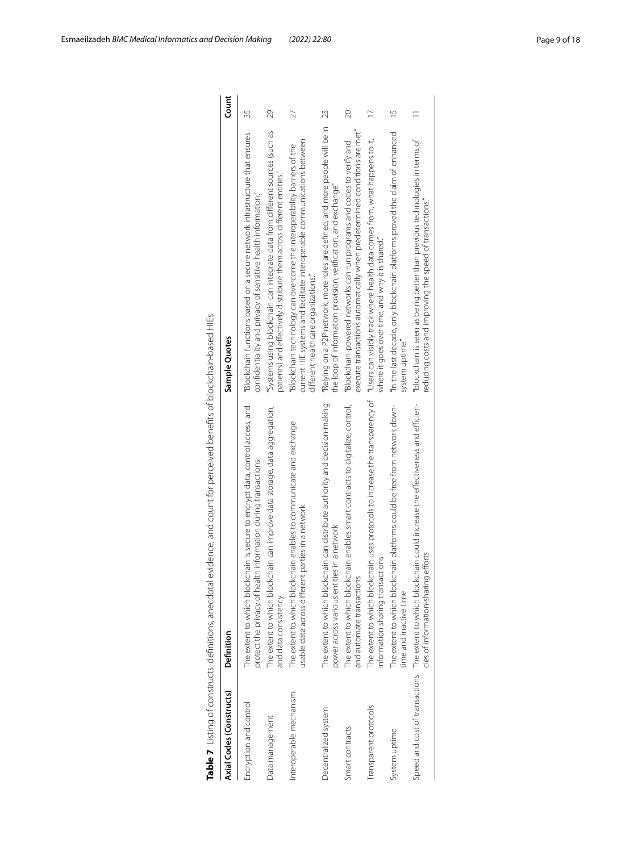| Table 7 Listing of constructs, definitions, anecdotal | evidence, and count for perceived benefits of blockchain-based HIEs                                                                                 |                                                                                                                                                                                             |                |
|-------------------------------------------------------|-----------------------------------------------------------------------------------------------------------------------------------------------------|---------------------------------------------------------------------------------------------------------------------------------------------------------------------------------------------|----------------|
| Axial Codes (Constructs)                              | Definition                                                                                                                                          | Sample Quotes                                                                                                                                                                               | Count          |
| Encryption and control                                | The extent to which blockchain is secure to encrypt data, control access, and<br>protect the privacy of health information during transactions      | "Blockchain functions based on a secure network infrastructure that ensures<br>conhdentiality and privacy of sensitive health information."                                                 | 35             |
| Data management                                       | The extent to which blockchain can improve data storage, data aggregation,<br>and data consistency                                                  | "Systems using blockchain can integrate data from different sources (such as<br>patients) and effectively distribute them across different entities."                                       | 29             |
| Interoperable mechanism                               | The extent to which blockchain enables to communicate and exchange<br>usable data across different parties in a network                             | current HIE systems and facilitate interoperable communications between<br>"Blockchain technology can overcome the interoperability barriers of the<br>different healthcare organizations." | 27             |
| Decentralized system                                  | The extent to which blockchain can distribute authority and decision-making<br>power across various entities in a network                           | "Relying on a P2P network, more roles are defined, and more people will be in<br>the loop of information provision, verification, and exchange."                                            | 23             |
| Smart contracts                                       | The extent to which blockchain enables smart contracts to digitalize, control,<br>and automate transaction                                          | execute transactions automatically when predetermined conditions are met."<br>"Blockchain-powered networks can run programs and codes to verify and                                         | $\approx$      |
| Transparent protocols                                 | The extent to which blockchain uses protocols to increase the transparency of<br>information sharing transactions                                   | "Users can visibly track where health data comes from, what happens to it,<br>where it goes over time, and why it is shared."                                                               | $\overline{1}$ |
| System uptime                                         | The extent to which blockchain platforms could be free from network down-<br>time and inactive time                                                 | "In the last decade, only blockchain platforms proved the claim of enhanced<br>system uptime."                                                                                              | $\frac{5}{1}$  |
|                                                       | Speed and cost of transactions The extent to which blockchain could increase the effectiveness and efficien-<br>cies of information-sharing efforts | "blockchain is seen as being better than previous technologies in terms of<br>reducing costs and improving the speed of transactions."                                                      |                |

<span id="page-8-0"></span>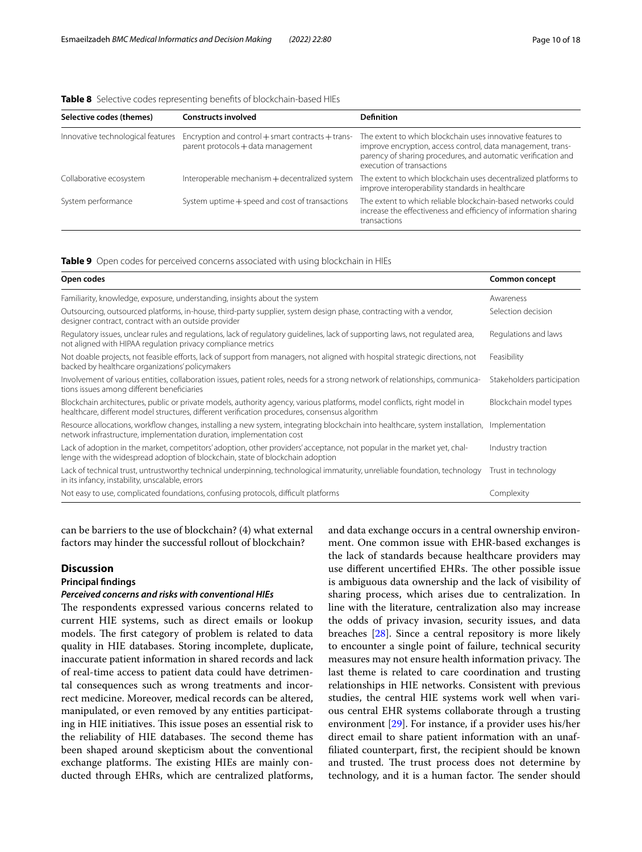<span id="page-9-0"></span>

|  |  |  |  | <b>Table 8</b> Selective codes representing benefits of blockchain-based HIEs |
|--|--|--|--|-------------------------------------------------------------------------------|
|--|--|--|--|-------------------------------------------------------------------------------|

| Selective codes (themes)          | <b>Constructs involved</b>                                                                  | <b>Definition</b>                                                                                                                                                                                                       |
|-----------------------------------|---------------------------------------------------------------------------------------------|-------------------------------------------------------------------------------------------------------------------------------------------------------------------------------------------------------------------------|
| Innovative technological features | Encryption and control $+$ smart contracts $+$ trans-<br>parent protocols + data management | The extent to which blockchain uses innovative features to<br>improve encryption, access control, data management, trans-<br>parency of sharing procedures, and automatic verification and<br>execution of transactions |
| Collaborative ecosystem           | Interoperable mechanism + decentralized system                                              | The extent to which blockchain uses decentralized platforms to<br>improve interoperability standards in healthcare                                                                                                      |
| System performance                | System uptime + speed and cost of transactions                                              | The extent to which reliable blockchain-based networks could<br>increase the effectiveness and efficiency of information sharing<br>transactions                                                                        |

#### <span id="page-9-1"></span>**Table 9** Open codes for perceived concerns associated with using blockchain in HIEs

| Open codes                                                                                                                                                                                                                 | Common concept             |
|----------------------------------------------------------------------------------------------------------------------------------------------------------------------------------------------------------------------------|----------------------------|
| Familiarity, knowledge, exposure, understanding, insights about the system                                                                                                                                                 | Awareness                  |
| Outsourcing, outsourced platforms, in-house, third-party supplier, system design phase, contracting with a vendor,<br>designer contract, contract with an outside provider                                                 | Selection decision         |
| Regulatory issues, unclear rules and regulations, lack of regulatory guidelines, lack of supporting laws, not regulated area,<br>not aligned with HIPAA regulation privacy compliance metrics                              | Regulations and laws       |
| Not doable projects, not feasible efforts, lack of support from managers, not aligned with hospital strategic directions, not<br>backed by healthcare organizations' policymakers                                          | Feasibility                |
| Involvement of various entities, collaboration issues, patient roles, needs for a strong network of relationships, communica-<br>tions issues among different beneficiaries                                                | Stakeholders participation |
| Blockchain architectures, public or private models, authority agency, various platforms, model conflicts, right model in<br>healthcare, different model structures, different verification procedures, consensus algorithm | Blockchain model types     |
| Resource allocations, workflow changes, installing a new system, integrating blockchain into healthcare, system installation, Implementation<br>network infrastructure, implementation duration, implementation cost       |                            |
| Lack of adoption in the market, competitors' adoption, other providers' acceptance, not popular in the market yet, chal-<br>lenge with the widespread adoption of blockchain, state of blockchain adoption                 | Industry traction          |
| Lack of technical trust, untrustworthy technical underpinning, technological immaturity, unreliable foundation, technology<br>in its infancy, instability, unscalable, errors                                              | Trust in technology        |
| Not easy to use, complicated foundations, confusing protocols, difficult platforms                                                                                                                                         | Complexity                 |

can be barriers to the use of blockchain? (4) what external factors may hinder the successful rollout of blockchain?

## **Discussion**

## **Principal fndings**

#### *Perceived concerns and risks with conventional HIEs*

The respondents expressed various concerns related to current HIE systems, such as direct emails or lookup models. The first category of problem is related to data quality in HIE databases. Storing incomplete, duplicate, inaccurate patient information in shared records and lack of real-time access to patient data could have detrimental consequences such as wrong treatments and incorrect medicine. Moreover, medical records can be altered, manipulated, or even removed by any entities participating in HIE initiatives. This issue poses an essential risk to the reliability of HIE databases. The second theme has been shaped around skepticism about the conventional exchange platforms. The existing HIEs are mainly conducted through EHRs, which are centralized platforms, and data exchange occurs in a central ownership environment. One common issue with EHR-based exchanges is the lack of standards because healthcare providers may use different uncertified EHRs. The other possible issue is ambiguous data ownership and the lack of visibility of sharing process, which arises due to centralization. In line with the literature, centralization also may increase the odds of privacy invasion, security issues, and data breaches [\[28\]](#page-16-26). Since a central repository is more likely to encounter a single point of failure, technical security measures may not ensure health information privacy. The last theme is related to care coordination and trusting relationships in HIE networks. Consistent with previous studies, the central HIE systems work well when various central EHR systems collaborate through a trusting environment [\[29](#page-17-0)]. For instance, if a provider uses his/her direct email to share patient information with an unaffliated counterpart, frst, the recipient should be known and trusted. The trust process does not determine by technology, and it is a human factor. The sender should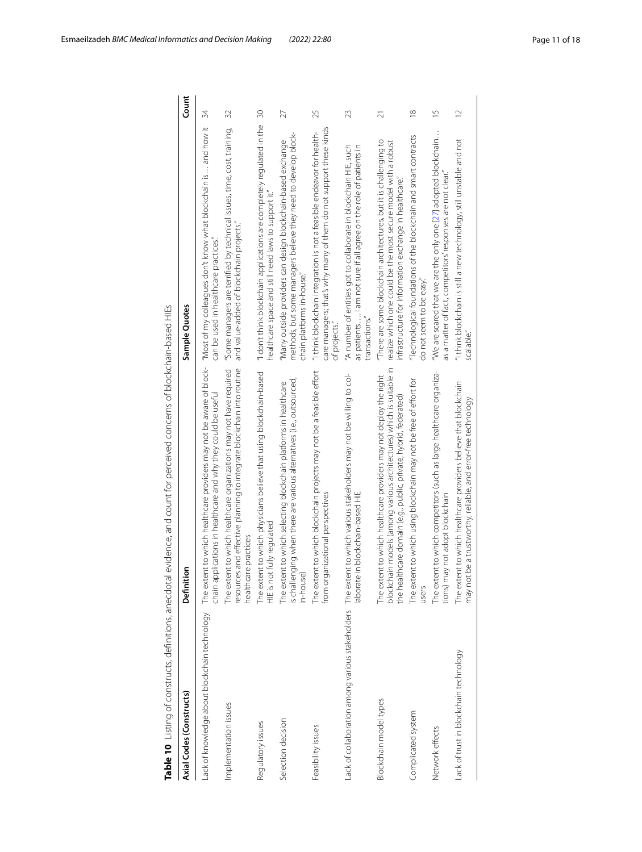<span id="page-10-0"></span>

|                                               | Table 10 Listing of constructs, definitions, anecdotal evidence, and count for perceived concerns of blockchain-based HIEs                                                                                         |                                                                                                                                                                                                |                 |
|-----------------------------------------------|--------------------------------------------------------------------------------------------------------------------------------------------------------------------------------------------------------------------|------------------------------------------------------------------------------------------------------------------------------------------------------------------------------------------------|-----------------|
| Axial Codes (Constructs)                      | tion<br>Definit                                                                                                                                                                                                    | Sample Quotes                                                                                                                                                                                  | Count           |
| Lack of knowledge about blockchain technology | The extent to which healthcare providers may not be aware of block-<br>chain applications in healthcare and why they could be useful                                                                               | "Most of my colleagues don't know what blockchain is and how it<br>can be used in healthcare practices."                                                                                       | 34              |
| Implementation issues                         | ces and effective planning to integrate blockchain into routine<br>The extent to which health care organizations may not have required<br>healthcare practices<br>resourd                                          | "Some managers are terrified by technical issues, time, cost, training,<br>and value-added of blockchain projects."                                                                            | 32              |
| Regulatory issues                             | The extent to which physicians believe that using blockchain-based<br>HIE is not fully requlated                                                                                                                   | "I don't think blockchain applications are completely regulated in the<br>healthcare space and still need laws to support it."                                                                 | $\overline{30}$ |
| Selection decision                            | is challenging when there are various alternatives (i.e., outsourced,<br>The extent to which selecting blockchain platforms in healthcare<br>in-house)                                                             | methods, but some managers believe they need to develop block-<br>'Many outside providers can design blockchain-based exchange<br>chain platforms in-house."                                   | 27              |
| Feasibility issues                            | The extent to which blockchain projects may not be a feasible effort<br>rganizational perspectives<br>from or                                                                                                      | care managers; that's why many of them do not support these kinds<br>"I think blockchain integration is not a feasible endeavor for health-<br>of projects.                                    | 25              |
|                                               | Lack of collaboration among various stakeholders The extent to which various stakeholders may not be willing to col-<br>laborate in blockchain-based HIE                                                           | "A number of entities got to collaborate in blockchain HIE, such<br>as patients I am not sure if all agree on the role of patients in<br>transactions.                                         | 23              |
| Blockchain model types                        | blockchain models (among various architectures) which is suitable in<br>tent to which healthcare providers may not deploy the right<br>the healthcare domain (e.g., public, private, hybrid, federated)<br>The ext | "There are some blockchain architectures, but it is challenging to<br>realize which one could be the most secure model with a robust<br>infrastructure for information exchange in healthcare. | $\overline{2}1$ |
| Complicated system                            | tent to which using blockchain may not be free of effort for<br>The ext<br>users                                                                                                                                   | "Technological foundations of the blockchain and smart contracts<br>do not seem to be easy."                                                                                                   | $\approx$       |
| Network effects                               | The extent to which competitors (such as large healthcare organiza-<br>tions) may not adopt blockchain                                                                                                             | "We are scared that we are the only one $[27]$ adopted blockchain<br>as a matter of fact, competitors' responses are not clear.                                                                | $\frac{5}{1}$   |
| ack of trust in blockchain technology.        | The extent to which healthcare providers believe that blockchain<br>may not be a trustworthy, reliable, and error-free technology                                                                                  | "I think blockchain is still a new technology, still unstable and not<br>scalable.                                                                                                             | $\overline{12}$ |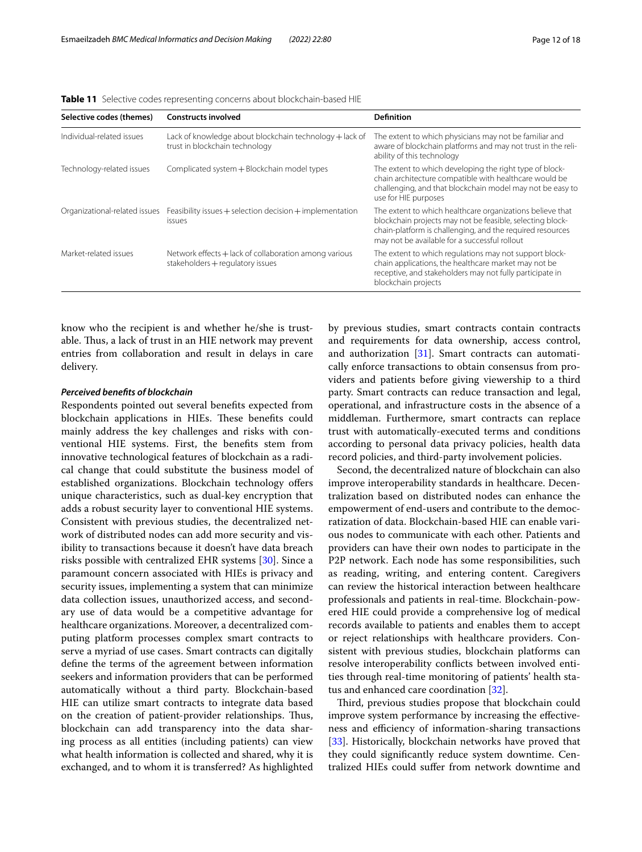| Selective codes (themes)      | <b>Constructs involved</b>                                                                | <b>Definition</b>                                                                                                                                                                                                                    |
|-------------------------------|-------------------------------------------------------------------------------------------|--------------------------------------------------------------------------------------------------------------------------------------------------------------------------------------------------------------------------------------|
| Individual-related issues     | Lack of knowledge about blockchain technology + lack of<br>trust in blockchain technology | The extent to which physicians may not be familiar and<br>aware of blockchain platforms and may not trust in the reli-<br>ability of this technology                                                                                 |
| Technology-related issues     | Complicated system + Blockchain model types                                               | The extent to which developing the right type of block-<br>chain architecture compatible with healthcare would be<br>challenging, and that blockchain model may not be easy to<br>use for HIE purposes                               |
| Organizational-related issues | Feasibility issues $+$ selection decision $+$ implementation<br>issues                    | The extent to which healthcare organizations believe that<br>blockchain projects may not be feasible, selecting block-<br>chain-platform is challenging, and the required resources<br>may not be available for a successful rollout |
| Market-related issues         | Network effects + lack of collaboration among various<br>stakeholders + regulatory issues | The extent to which regulations may not support block-<br>chain applications, the healthcare market may not be<br>receptive, and stakeholders may not fully participate in<br>blockchain projects                                    |

<span id="page-11-0"></span>**Table 11** Selective codes representing concerns about blockchain-based HIE

know who the recipient is and whether he/she is trustable. Thus, a lack of trust in an HIE network may prevent entries from collaboration and result in delays in care delivery.

## *Perceived benefts of blockchain*

Respondents pointed out several benefts expected from blockchain applications in HIEs. These benefits could mainly address the key challenges and risks with conventional HIE systems. First, the benefts stem from innovative technological features of blockchain as a radical change that could substitute the business model of established organizations. Blockchain technology offers unique characteristics, such as dual-key encryption that adds a robust security layer to conventional HIE systems. Consistent with previous studies, the decentralized network of distributed nodes can add more security and visibility to transactions because it doesn't have data breach risks possible with centralized EHR systems [\[30](#page-17-1)]. Since a paramount concern associated with HIEs is privacy and security issues, implementing a system that can minimize data collection issues, unauthorized access, and secondary use of data would be a competitive advantage for healthcare organizations. Moreover, a decentralized computing platform processes complex smart contracts to serve a myriad of use cases. Smart contracts can digitally defne the terms of the agreement between information seekers and information providers that can be performed automatically without a third party. Blockchain-based HIE can utilize smart contracts to integrate data based on the creation of patient-provider relationships. Thus, blockchain can add transparency into the data sharing process as all entities (including patients) can view what health information is collected and shared, why it is exchanged, and to whom it is transferred? As highlighted by previous studies, smart contracts contain contracts and requirements for data ownership, access control, and authorization [[31](#page-17-2)]. Smart contracts can automatically enforce transactions to obtain consensus from providers and patients before giving viewership to a third party. Smart contracts can reduce transaction and legal, operational, and infrastructure costs in the absence of a middleman. Furthermore, smart contracts can replace trust with automatically-executed terms and conditions according to personal data privacy policies, health data record policies, and third-party involvement policies.

Second, the decentralized nature of blockchain can also improve interoperability standards in healthcare. Decentralization based on distributed nodes can enhance the empowerment of end-users and contribute to the democratization of data. Blockchain-based HIE can enable various nodes to communicate with each other. Patients and providers can have their own nodes to participate in the P2P network. Each node has some responsibilities, such as reading, writing, and entering content. Caregivers can review the historical interaction between healthcare professionals and patients in real-time. Blockchain-powered HIE could provide a comprehensive log of medical records available to patients and enables them to accept or reject relationships with healthcare providers. Consistent with previous studies, blockchain platforms can resolve interoperability conficts between involved entities through real-time monitoring of patients' health status and enhanced care coordination [\[32](#page-17-3)].

Third, previous studies propose that blockchain could improve system performance by increasing the efectiveness and efficiency of information-sharing transactions [[33\]](#page-17-4). Historically, blockchain networks have proved that they could signifcantly reduce system downtime. Centralized HIEs could sufer from network downtime and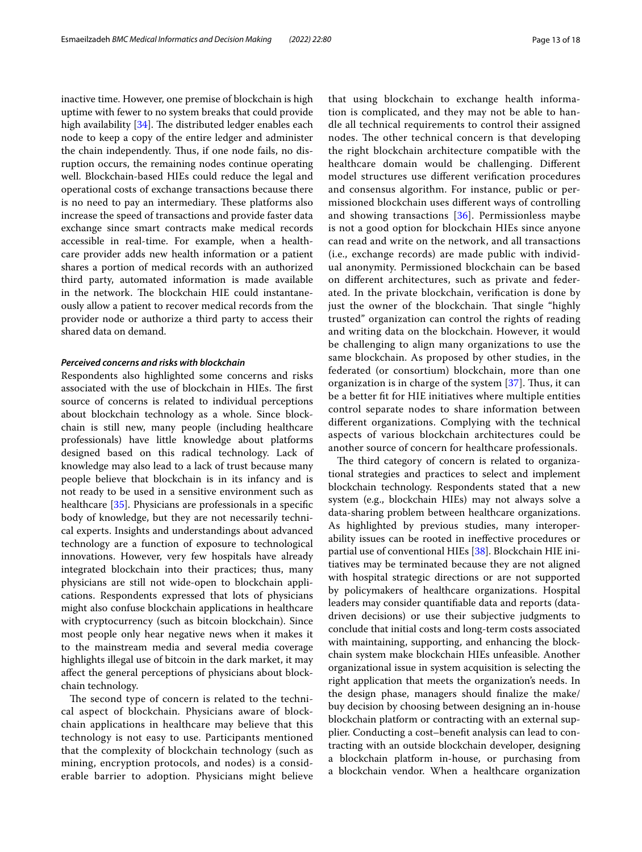inactive time. However, one premise of blockchain is high uptime with fewer to no system breaks that could provide high availability  $[34]$ . The distributed ledger enables each node to keep a copy of the entire ledger and administer the chain independently. Thus, if one node fails, no disruption occurs, the remaining nodes continue operating well. Blockchain-based HIEs could reduce the legal and operational costs of exchange transactions because there is no need to pay an intermediary. These platforms also increase the speed of transactions and provide faster data exchange since smart contracts make medical records accessible in real-time. For example, when a healthcare provider adds new health information or a patient shares a portion of medical records with an authorized third party, automated information is made available in the network. The blockchain HIE could instantaneously allow a patient to recover medical records from the provider node or authorize a third party to access their shared data on demand.

## *Perceived concerns and risks with blockchain*

Respondents also highlighted some concerns and risks associated with the use of blockchain in HIEs. The first source of concerns is related to individual perceptions about blockchain technology as a whole. Since blockchain is still new, many people (including healthcare professionals) have little knowledge about platforms designed based on this radical technology. Lack of knowledge may also lead to a lack of trust because many people believe that blockchain is in its infancy and is not ready to be used in a sensitive environment such as healthcare [[35](#page-17-6)]. Physicians are professionals in a specifc body of knowledge, but they are not necessarily technical experts. Insights and understandings about advanced technology are a function of exposure to technological innovations. However, very few hospitals have already integrated blockchain into their practices; thus, many physicians are still not wide-open to blockchain applications. Respondents expressed that lots of physicians might also confuse blockchain applications in healthcare with cryptocurrency (such as bitcoin blockchain). Since most people only hear negative news when it makes it to the mainstream media and several media coverage highlights illegal use of bitcoin in the dark market, it may afect the general perceptions of physicians about blockchain technology.

The second type of concern is related to the technical aspect of blockchain. Physicians aware of blockchain applications in healthcare may believe that this technology is not easy to use. Participants mentioned that the complexity of blockchain technology (such as mining, encryption protocols, and nodes) is a considerable barrier to adoption. Physicians might believe that using blockchain to exchange health information is complicated, and they may not be able to handle all technical requirements to control their assigned nodes. The other technical concern is that developing the right blockchain architecture compatible with the healthcare domain would be challenging. Diferent model structures use diferent verifcation procedures and consensus algorithm. For instance, public or permissioned blockchain uses diferent ways of controlling and showing transactions [\[36](#page-17-7)]. Permissionless maybe is not a good option for blockchain HIEs since anyone can read and write on the network, and all transactions (i.e., exchange records) are made public with individual anonymity. Permissioned blockchain can be based on diferent architectures, such as private and federated. In the private blockchain, verifcation is done by just the owner of the blockchain. That single "highly trusted" organization can control the rights of reading and writing data on the blockchain. However, it would be challenging to align many organizations to use the same blockchain. As proposed by other studies, in the federated (or consortium) blockchain, more than one organization is in charge of the system  $[37]$  $[37]$ . Thus, it can be a better ft for HIE initiatives where multiple entities control separate nodes to share information between diferent organizations. Complying with the technical aspects of various blockchain architectures could be another source of concern for healthcare professionals.

The third category of concern is related to organizational strategies and practices to select and implement blockchain technology. Respondents stated that a new system (e.g., blockchain HIEs) may not always solve a data-sharing problem between healthcare organizations. As highlighted by previous studies, many interoperability issues can be rooted in inefective procedures or partial use of conventional HIEs [[38](#page-17-9)]. Blockchain HIE initiatives may be terminated because they are not aligned with hospital strategic directions or are not supported by policymakers of healthcare organizations. Hospital leaders may consider quantifable data and reports (datadriven decisions) or use their subjective judgments to conclude that initial costs and long-term costs associated with maintaining, supporting, and enhancing the blockchain system make blockchain HIEs unfeasible. Another organizational issue in system acquisition is selecting the right application that meets the organization's needs. In the design phase, managers should fnalize the make/ buy decision by choosing between designing an in-house blockchain platform or contracting with an external supplier. Conducting a cost–beneft analysis can lead to contracting with an outside blockchain developer, designing a blockchain platform in-house, or purchasing from a blockchain vendor. When a healthcare organization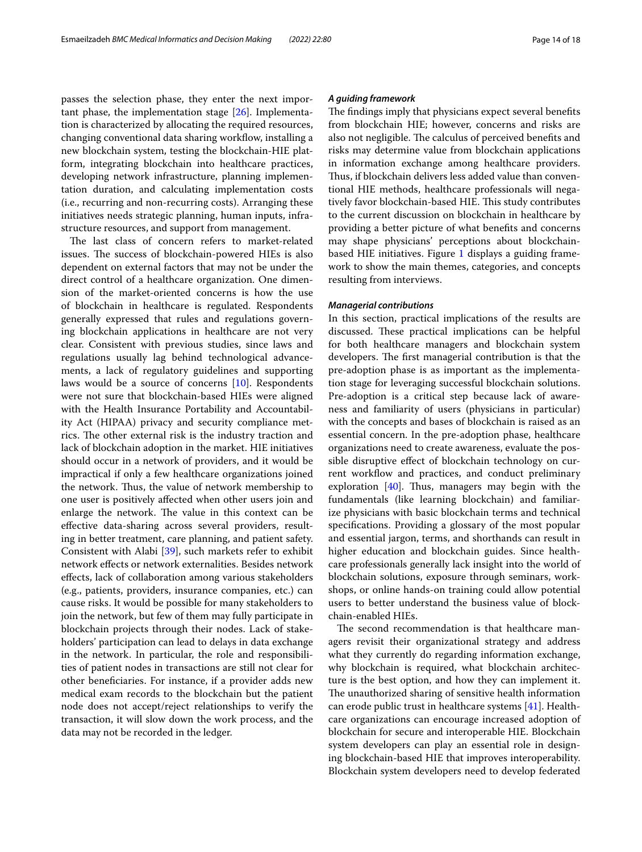passes the selection phase, they enter the next important phase, the implementation stage [[26](#page-16-25)]. Implementation is characterized by allocating the required resources, changing conventional data sharing workfow, installing a new blockchain system, testing the blockchain-HIE platform, integrating blockchain into healthcare practices, developing network infrastructure, planning implementation duration, and calculating implementation costs (i.e., recurring and non-recurring costs). Arranging these initiatives needs strategic planning, human inputs, infrastructure resources, and support from management.

The last class of concern refers to market-related issues. The success of blockchain-powered HIEs is also dependent on external factors that may not be under the direct control of a healthcare organization. One dimension of the market-oriented concerns is how the use of blockchain in healthcare is regulated. Respondents generally expressed that rules and regulations governing blockchain applications in healthcare are not very clear. Consistent with previous studies, since laws and regulations usually lag behind technological advancements, a lack of regulatory guidelines and supporting laws would be a source of concerns [\[10](#page-16-9)]. Respondents were not sure that blockchain-based HIEs were aligned with the Health Insurance Portability and Accountability Act (HIPAA) privacy and security compliance metrics. The other external risk is the industry traction and lack of blockchain adoption in the market. HIE initiatives should occur in a network of providers, and it would be impractical if only a few healthcare organizations joined the network. Thus, the value of network membership to one user is positively afected when other users join and enlarge the network. The value in this context can be efective data-sharing across several providers, resulting in better treatment, care planning, and patient safety. Consistent with Alabi [[39\]](#page-17-10), such markets refer to exhibit network efects or network externalities. Besides network efects, lack of collaboration among various stakeholders (e.g., patients, providers, insurance companies, etc.) can cause risks. It would be possible for many stakeholders to join the network, but few of them may fully participate in blockchain projects through their nodes. Lack of stakeholders' participation can lead to delays in data exchange in the network. In particular, the role and responsibilities of patient nodes in transactions are still not clear for other benefciaries. For instance, if a provider adds new medical exam records to the blockchain but the patient node does not accept/reject relationships to verify the transaction, it will slow down the work process, and the data may not be recorded in the ledger.

#### *A guiding framework*

The findings imply that physicians expect several benefits from blockchain HIE; however, concerns and risks are also not negligible. The calculus of perceived benefits and risks may determine value from blockchain applications in information exchange among healthcare providers. Thus, if blockchain delivers less added value than conventional HIE methods, healthcare professionals will negatively favor blockchain-based HIE. This study contributes to the current discussion on blockchain in healthcare by providing a better picture of what benefts and concerns may shape physicians' perceptions about blockchainbased HIE initiatives. Figure [1](#page-14-0) displays a guiding framework to show the main themes, categories, and concepts resulting from interviews.

#### *Managerial contributions*

In this section, practical implications of the results are discussed. These practical implications can be helpful for both healthcare managers and blockchain system developers. The first managerial contribution is that the pre-adoption phase is as important as the implementation stage for leveraging successful blockchain solutions. Pre-adoption is a critical step because lack of awareness and familiarity of users (physicians in particular) with the concepts and bases of blockchain is raised as an essential concern. In the pre-adoption phase, healthcare organizations need to create awareness, evaluate the possible disruptive efect of blockchain technology on current workflow and practices, and conduct preliminary exploration  $[40]$  $[40]$ . Thus, managers may begin with the fundamentals (like learning blockchain) and familiarize physicians with basic blockchain terms and technical specifcations. Providing a glossary of the most popular and essential jargon, terms, and shorthands can result in higher education and blockchain guides. Since healthcare professionals generally lack insight into the world of blockchain solutions, exposure through seminars, workshops, or online hands-on training could allow potential users to better understand the business value of blockchain-enabled HIEs.

The second recommendation is that healthcare managers revisit their organizational strategy and address what they currently do regarding information exchange, why blockchain is required, what blockchain architecture is the best option, and how they can implement it. The unauthorized sharing of sensitive health information can erode public trust in healthcare systems [[41\]](#page-17-12). Healthcare organizations can encourage increased adoption of blockchain for secure and interoperable HIE. Blockchain system developers can play an essential role in designing blockchain-based HIE that improves interoperability. Blockchain system developers need to develop federated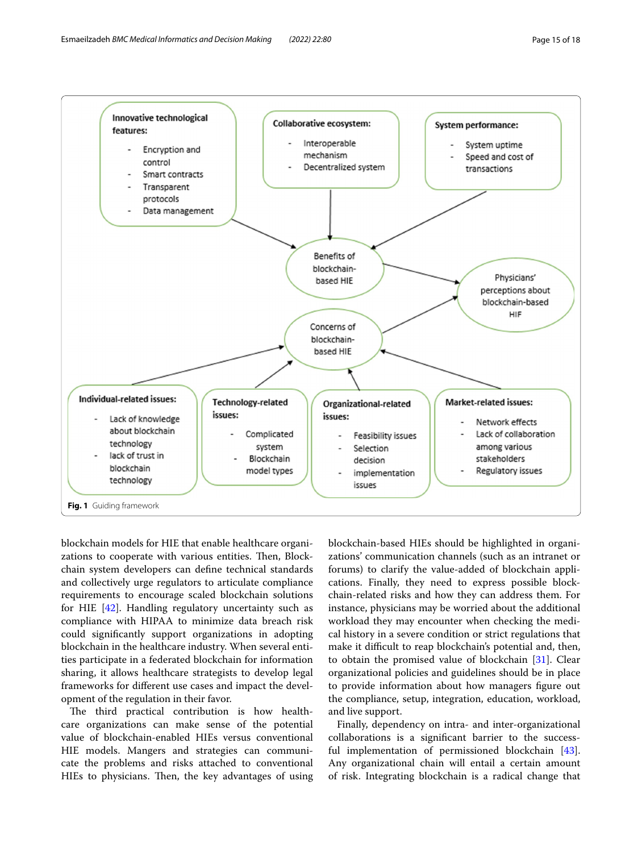

<span id="page-14-0"></span>blockchain models for HIE that enable healthcare organizations to cooperate with various entities. Then, Blockchain system developers can defne technical standards and collectively urge regulators to articulate compliance requirements to encourage scaled blockchain solutions for HIE [\[42](#page-17-13)]. Handling regulatory uncertainty such as compliance with HIPAA to minimize data breach risk could signifcantly support organizations in adopting blockchain in the healthcare industry. When several entities participate in a federated blockchain for information sharing, it allows healthcare strategists to develop legal frameworks for diferent use cases and impact the development of the regulation in their favor.

The third practical contribution is how healthcare organizations can make sense of the potential value of blockchain-enabled HIEs versus conventional HIE models. Mangers and strategies can communicate the problems and risks attached to conventional HIEs to physicians. Then, the key advantages of using

blockchain-based HIEs should be highlighted in organizations' communication channels (such as an intranet or forums) to clarify the value-added of blockchain applications. Finally, they need to express possible blockchain-related risks and how they can address them. For instance, physicians may be worried about the additional workload they may encounter when checking the medical history in a severe condition or strict regulations that make it difficult to reap blockchain's potential and, then, to obtain the promised value of blockchain [\[31\]](#page-17-2). Clear organizational policies and guidelines should be in place to provide information about how managers fgure out the compliance, setup, integration, education, workload, and live support.

Finally, dependency on intra- and inter-organizational collaborations is a signifcant barrier to the successful implementation of permissioned blockchain [\[43](#page-17-14)]. Any organizational chain will entail a certain amount of risk. Integrating blockchain is a radical change that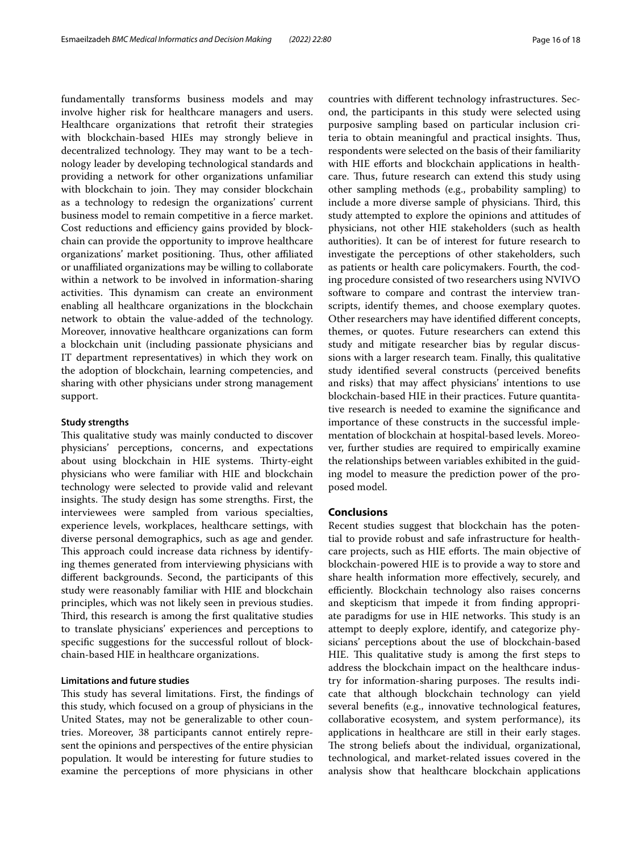fundamentally transforms business models and may involve higher risk for healthcare managers and users. Healthcare organizations that retroft their strategies with blockchain-based HIEs may strongly believe in decentralized technology. They may want to be a technology leader by developing technological standards and providing a network for other organizations unfamiliar with blockchain to join. They may consider blockchain as a technology to redesign the organizations' current business model to remain competitive in a ferce market. Cost reductions and efficiency gains provided by blockchain can provide the opportunity to improve healthcare organizations' market positioning. Thus, other affiliated or unafliated organizations may be willing to collaborate within a network to be involved in information-sharing activities. This dynamism can create an environment enabling all healthcare organizations in the blockchain network to obtain the value-added of the technology. Moreover, innovative healthcare organizations can form a blockchain unit (including passionate physicians and IT department representatives) in which they work on the adoption of blockchain, learning competencies, and sharing with other physicians under strong management support.

#### **Study strengths**

This qualitative study was mainly conducted to discover physicians' perceptions, concerns, and expectations about using blockchain in HIE systems. Thirty-eight physicians who were familiar with HIE and blockchain technology were selected to provide valid and relevant insights. The study design has some strengths. First, the interviewees were sampled from various specialties, experience levels, workplaces, healthcare settings, with diverse personal demographics, such as age and gender. This approach could increase data richness by identifying themes generated from interviewing physicians with diferent backgrounds. Second, the participants of this study were reasonably familiar with HIE and blockchain principles, which was not likely seen in previous studies. Third, this research is among the first qualitative studies to translate physicians' experiences and perceptions to specifc suggestions for the successful rollout of blockchain-based HIE in healthcare organizations.

## **Limitations and future studies**

This study has several limitations. First, the findings of this study, which focused on a group of physicians in the United States, may not be generalizable to other countries. Moreover, 38 participants cannot entirely represent the opinions and perspectives of the entire physician population. It would be interesting for future studies to examine the perceptions of more physicians in other countries with diferent technology infrastructures. Second, the participants in this study were selected using purposive sampling based on particular inclusion criteria to obtain meaningful and practical insights. Tus, respondents were selected on the basis of their familiarity with HIE efforts and blockchain applications in healthcare. Thus, future research can extend this study using other sampling methods (e.g., probability sampling) to include a more diverse sample of physicians. Third, this study attempted to explore the opinions and attitudes of physicians, not other HIE stakeholders (such as health authorities). It can be of interest for future research to investigate the perceptions of other stakeholders, such as patients or health care policymakers. Fourth, the coding procedure consisted of two researchers using NVIVO software to compare and contrast the interview transcripts, identify themes, and choose exemplary quotes. Other researchers may have identifed diferent concepts, themes, or quotes. Future researchers can extend this study and mitigate researcher bias by regular discussions with a larger research team. Finally, this qualitative study identifed several constructs (perceived benefts and risks) that may afect physicians' intentions to use blockchain-based HIE in their practices. Future quantitative research is needed to examine the signifcance and importance of these constructs in the successful implementation of blockchain at hospital-based levels. Moreover, further studies are required to empirically examine the relationships between variables exhibited in the guiding model to measure the prediction power of the proposed model.

## **Conclusions**

Recent studies suggest that blockchain has the potential to provide robust and safe infrastructure for healthcare projects, such as HIE efforts. The main objective of blockchain-powered HIE is to provide a way to store and share health information more efectively, securely, and efficiently. Blockchain technology also raises concerns and skepticism that impede it from fnding appropriate paradigms for use in HIE networks. This study is an attempt to deeply explore, identify, and categorize physicians' perceptions about the use of blockchain-based HIE. This qualitative study is among the first steps to address the blockchain impact on the healthcare industry for information-sharing purposes. The results indicate that although blockchain technology can yield several benefts (e.g., innovative technological features, collaborative ecosystem, and system performance), its applications in healthcare are still in their early stages. The strong beliefs about the individual, organizational, technological, and market-related issues covered in the analysis show that healthcare blockchain applications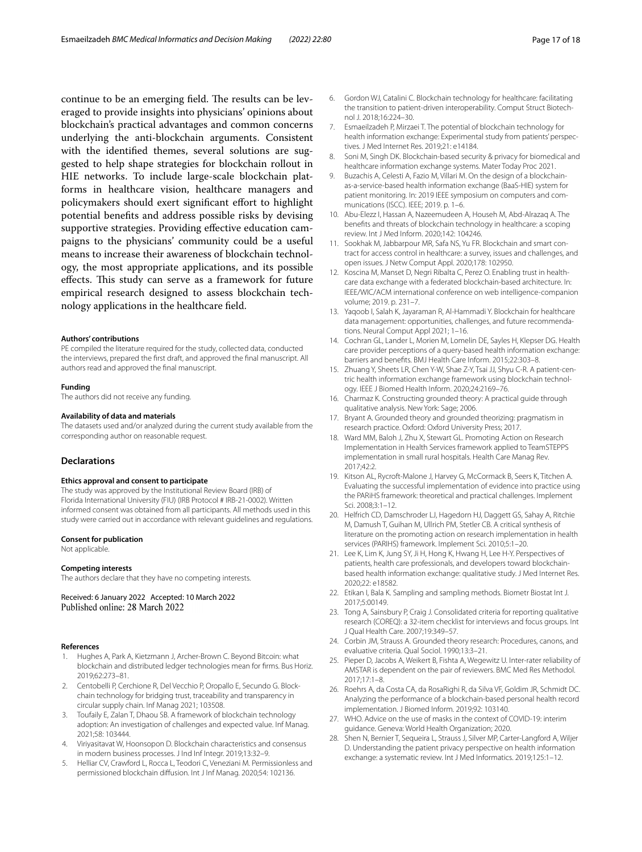continue to be an emerging field. The results can be leveraged to provide insights into physicians' opinions about blockchain's practical advantages and common concerns underlying the anti-blockchain arguments. Consistent with the identifed themes, several solutions are suggested to help shape strategies for blockchain rollout in HIE networks. To include large-scale blockchain platforms in healthcare vision, healthcare managers and policymakers should exert significant effort to highlight potential benefts and address possible risks by devising supportive strategies. Providing efective education campaigns to the physicians' community could be a useful means to increase their awareness of blockchain technology, the most appropriate applications, and its possible effects. This study can serve as a framework for future empirical research designed to assess blockchain technology applications in the healthcare feld.

#### **Authors' contributions**

PE compiled the literature required for the study, collected data, conducted the interviews, prepared the frst draft, and approved the fnal manuscript. All authors read and approved the fnal manuscript.

#### **Funding**

The authors did not receive any funding.

#### **Availability of data and materials**

The datasets used and/or analyzed during the current study available from the corresponding author on reasonable request.

## **Declarations**

#### **Ethics approval and consent to participate**

The study was approved by the Institutional Review Board (IRB) of Florida International University (FIU) (IRB Protocol # IRB-21-0002). Written informed consent was obtained from all participants. All methods used in this study were carried out in accordance with relevant guidelines and regulations.

#### **Consent for publication**

Not applicable.

#### **Competing interests**

The authors declare that they have no competing interests.

Received: 6 January 2022 Accepted: 10 March 2022 Published online: 28 March 2022

#### **References**

- <span id="page-16-0"></span>1. Hughes A, Park A, Kietzmann J, Archer-Brown C. Beyond Bitcoin: what blockchain and distributed ledger technologies mean for frms. Bus Horiz. 2019;62:273–81.
- <span id="page-16-1"></span>2. Centobelli P, Cerchione R, Del Vecchio P, Oropallo E, Secundo G. Blockchain technology for bridging trust, traceability and transparency in circular supply chain. Inf Manag 2021; 103508.
- <span id="page-16-2"></span>3. Toufaily E, Zalan T, Dhaou SB. A framework of blockchain technology adoption: An investigation of challenges and expected value. Inf Manag. 2021;58: 103444.
- <span id="page-16-3"></span>4. Viriyasitavat W, Hoonsopon D. Blockchain characteristics and consensus in modern business processes. J Ind Inf Integr. 2019;13:32–9.
- <span id="page-16-4"></span>5. Helliar CV, Crawford L, Rocca L, Teodori C, Veneziani M. Permissionless and permissioned blockchain difusion. Int J Inf Manag. 2020;54: 102136.
- <span id="page-16-5"></span>6. Gordon WJ, Catalini C. Blockchain technology for healthcare: facilitating the transition to patient-driven interoperability. Comput Struct Biotechnol J. 2018;16:224–30.
- <span id="page-16-6"></span>7. Esmaeilzadeh P, Mirzaei T. The potential of blockchain technology for health information exchange: Experimental study from patients' perspectives. J Med Internet Res. 2019;21: e14184.
- <span id="page-16-7"></span>8. Soni M, Singh DK. Blockchain-based security & privacy for biomedical and healthcare information exchange systems. Mater Today Proc 2021.
- <span id="page-16-8"></span>9. Buzachis A, Celesti A, Fazio M, Villari M. On the design of a blockchainas-a-service-based health information exchange (BaaS-HIE) system for patient monitoring. In: 2019 IEEE symposium on computers and communications (ISCC). IEEE; 2019. p. 1–6.
- <span id="page-16-9"></span>10. Abu-Elezz I, Hassan A, Nazeemudeen A, Househ M, Abd-Alrazaq A. The benefts and threats of blockchain technology in healthcare: a scoping review. Int J Med Inform. 2020;142: 104246.
- <span id="page-16-10"></span>11. Sookhak M, Jabbarpour MR, Safa NS, Yu FR. Blockchain and smart contract for access control in healthcare: a survey, issues and challenges, and open issues. J Netw Comput Appl. 2020;178: 102950.
- <span id="page-16-11"></span>12. Koscina M, Manset D, Negri Ribalta C, Perez O. Enabling trust in healthcare data exchange with a federated blockchain-based architecture. In: IEEE/WIC/ACM international conference on web intelligence-companion volume; 2019. p. 231–7.
- <span id="page-16-12"></span>13. Yaqoob I, Salah K, Jayaraman R, Al-Hammadi Y. Blockchain for healthcare data management: opportunities, challenges, and future recommendations. Neural Comput Appl 2021; 1–16.
- <span id="page-16-13"></span>14. Cochran GL, Lander L, Morien M, Lomelin DE, Sayles H, Klepser DG. Health care provider perceptions of a query-based health information exchange: barriers and benefts. BMJ Health Care Inform. 2015;22:303–8.
- <span id="page-16-14"></span>15. Zhuang Y, Sheets LR, Chen Y-W, Shae Z-Y, Tsai JJ, Shyu C-R. A patient-centric health information exchange framework using blockchain technology. IEEE J Biomed Health Inform. 2020;24:2169–76.
- <span id="page-16-15"></span>16. Charmaz K. Constructing grounded theory: A practical guide through qualitative analysis. New York: Sage; 2006.
- <span id="page-16-16"></span>17. Bryant A. Grounded theory and grounded theorizing: pragmatism in research practice. Oxford: Oxford University Press; 2017.
- <span id="page-16-17"></span>18. Ward MM, Baloh J, Zhu X, Stewart GL. Promoting Action on Research Implementation in Health Services framework applied to TeamSTEPPS implementation in small rural hospitals. Health Care Manag Rev. 2017;42:2.
- <span id="page-16-18"></span>19. Kitson AL, Rycroft-Malone J, Harvey G, McCormack B, Seers K, Titchen A. Evaluating the successful implementation of evidence into practice using the PARiHS framework: theoretical and practical challenges. Implement Sci. 2008;3:1–12.
- <span id="page-16-19"></span>20. Helfrich CD, Damschroder LJ, Hagedorn HJ, Daggett GS, Sahay A, Ritchie M, Damush T, Guihan M, Ullrich PM, Stetler CB. A critical synthesis of literature on the promoting action on research implementation in health services (PARIHS) framework. Implement Sci. 2010;5:1–20.
- <span id="page-16-20"></span>21. Lee K, Lim K, Jung SY, Ji H, Hong K, Hwang H, Lee H-Y. Perspectives of patients, health care professionals, and developers toward blockchainbased health information exchange: qualitative study. J Med Internet Res. 2020;22: e18582.
- <span id="page-16-21"></span>22. Etikan I, Bala K. Sampling and sampling methods. Biometr Biostat Int J. 2017;5:00149.
- <span id="page-16-22"></span>23. Tong A, Sainsbury P, Craig J. Consolidated criteria for reporting qualitative research (COREQ): a 32-item checklist for interviews and focus groups. Int J Qual Health Care. 2007;19:349–57.
- <span id="page-16-23"></span>24. Corbin JM, Strauss A. Grounded theory research: Procedures, canons, and evaluative criteria. Qual Sociol. 1990;13:3–21.
- <span id="page-16-24"></span>25. Pieper D, Jacobs A, Weikert B, Fishta A, Wegewitz U. Inter-rater reliability of AMSTAR is dependent on the pair of reviewers. BMC Med Res Methodol.  $2017.17.1 - 8$
- <span id="page-16-25"></span>26. Roehrs A, da Costa CA, da RosaRighi R, da Silva VF, Goldim JR, Schmidt DC. Analyzing the performance of a blockchain-based personal health record implementation. J Biomed Inform. 2019;92: 103140.
- <span id="page-16-27"></span>27. WHO. Advice on the use of masks in the context of COVID-19: interim guidance. Geneva: World Health Organization; 2020.
- <span id="page-16-26"></span>28. Shen N, Bernier T, Sequeira L, Strauss J, Silver MP, Carter-Langford A, Wiljer D. Understanding the patient privacy perspective on health information exchange: a systematic review. Int J Med Informatics. 2019;125:1–12.